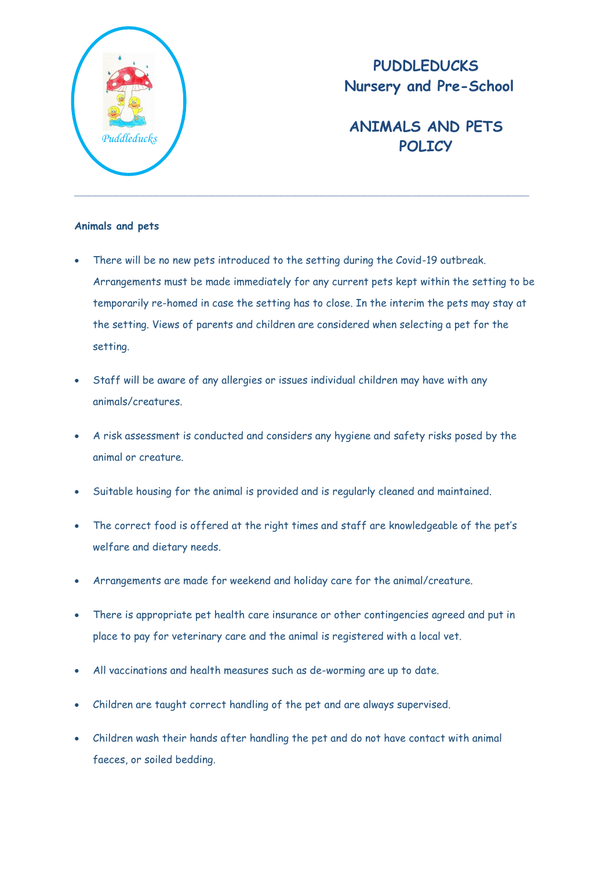

## **PUDDLEDUCKS Nursery and Pre-School**

## **ANIMALS AND PETS**  Puddleducks **POLICY**

## **Animals and pets**

- There will be no new pets introduced to the setting during the Covid-19 outbreak. Arrangements must be made immediately for any current pets kept within the setting to be temporarily re-homed in case the setting has to close. In the interim the pets may stay at the setting. Views of parents and children are considered when selecting a pet for the setting.
- Staff will be aware of any allergies or issues individual children may have with any animals/creatures.
- A risk assessment is conducted and considers any hygiene and safety risks posed by the animal or creature.
- Suitable housing for the animal is provided and is regularly cleaned and maintained.
- The correct food is offered at the right times and staff are knowledgeable of the pet's welfare and dietary needs.
- Arrangements are made for weekend and holiday care for the animal/creature.
- There is appropriate pet health care insurance or other contingencies agreed and put in place to pay for veterinary care and the animal is registered with a local vet.
- All vaccinations and health measures such as de-worming are up to date.
- Children are taught correct handling of the pet and are always supervised.
- Children wash their hands after handling the pet and do not have contact with animal faeces, or soiled bedding.